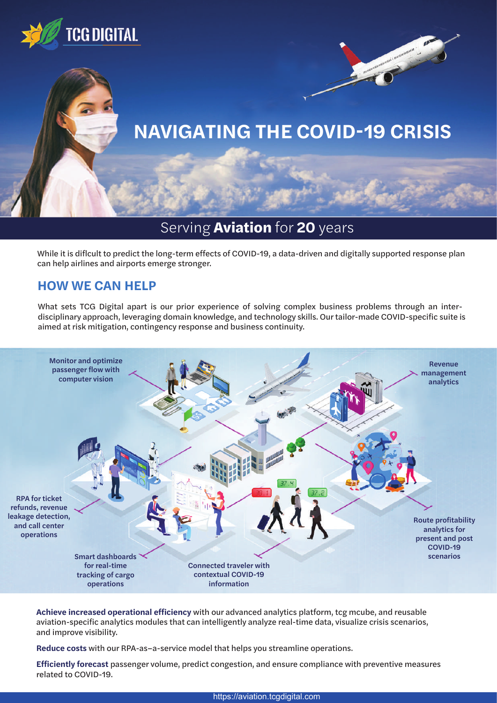

# **NAVIGATING THE COVID-19 CRISIS**

# Serving **Aviation** for **20** years

While it is diflcult to predict the long-term effects of COVID-19, a data-driven and digitally supported response plan can help airlines and airports emerge stronger.

### **HOW WE CAN HELP**

What sets TCG Digital apart is our prior experience of solving complex business problems through an interdisciplinary approach, leveraging domain knowledge, and technology skills. Our tailor-made COVID-specific suite is aimed at risk mitigation, contingency response and business continuity.



**Achieve increased operational efficiency** with our advanced analytics platform, tcg mcube, and reusable aviation-specific analytics modules that can intelligently analyze real-time data, visualize crisis scenarios, and improve visibility.

**Reduce costs** with our RPA-as–a-service model that helps you streamline operations.

**Efficiently forecast** passenger volume, predict congestion, and ensure compliance with preventive measures related to COVID-19.